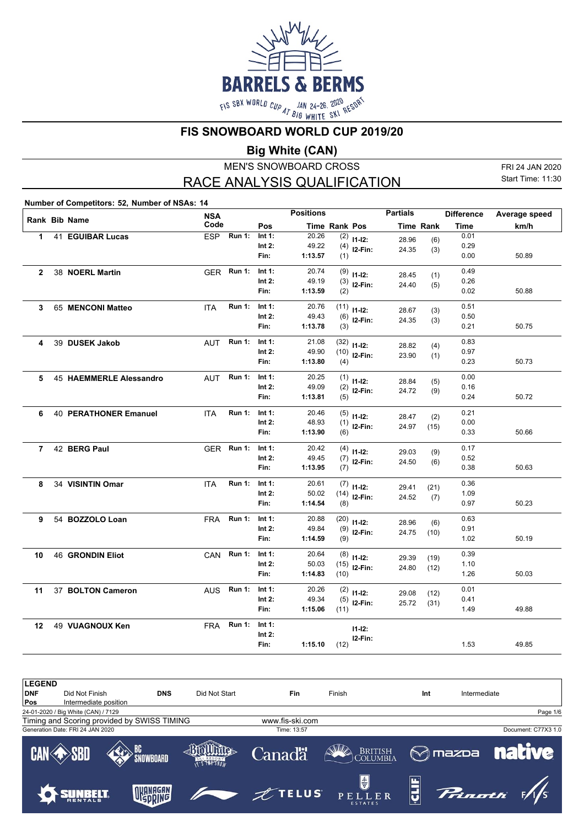

**FIS SNOWBOARD WORLD CUP 2019/20**

**Big White (CAN)**

MEN'S SNOWBOARD CROSS RACE ANALYSIS QUALIFICATION

FRI 24 JAN 2020 Start Time: 11:30

**Number of Competitors: 52, Number of NSAs: 14**

|                |                              | <b>NSA</b> |               |           | <b>Positions</b> |               |                | <b>Partials</b> |           | <b>Difference</b> | Average speed |
|----------------|------------------------------|------------|---------------|-----------|------------------|---------------|----------------|-----------------|-----------|-------------------|---------------|
|                | Rank Bib Name                | Code       |               | Pos       |                  | Time Rank Pos |                |                 | Time Rank | <b>Time</b>       | km/h          |
| $\mathbf{1}$   | 41 EGUIBAR Lucas             | <b>ESP</b> | <b>Run 1:</b> | Int 1:    | 20.26            |               | $(2)$ 11-12:   | 28.96           | (6)       | 0.01              |               |
|                |                              |            |               | Int 2:    | 49.22            |               | $(4)$ 12-Fin:  | 24.35           | (3)       | 0.29              |               |
|                |                              |            |               | Fin:      | 1:13.57          | (1)           |                |                 |           | 0.00              | 50.89         |
| $\overline{2}$ | 38 NOERL Martin              |            | GER Run 1:    | Int $1$ : | 20.74            |               | $(9)$ 11-12:   | 28.45           | (1)       | 0.49              |               |
|                |                              |            |               | Int $2:$  | 49.19            |               | $(3)$ 12-Fin:  | 24.40           | (5)       | 0.26              |               |
|                |                              |            |               | Fin:      | 1:13.59          | (2)           |                |                 |           | 0.02              | 50.88         |
| 3              | 65 MENCONI Matteo            | <b>ITA</b> | <b>Run 1:</b> | Int 1:    | 20.76            | (11)          | $11 - 12$ :    | 28.67           | (3)       | 0.51              |               |
|                |                              |            |               | Int $2:$  | 49.43            |               | $(6)$ 12-Fin:  | 24.35           | (3)       | 0.50              |               |
|                |                              |            |               | Fin:      | 1:13.78          | (3)           |                |                 |           | 0.21              | 50.75         |
| 4              | 39 DUSEK Jakob               | <b>AUT</b> | <b>Run 1:</b> | Int $1$ : | 21.08            |               | $(32)$ 11-12:  | 28.82           | (4)       | 0.83              |               |
|                |                              |            |               | Int $2$ : | 49.90            |               | $(10)$ 12-Fin: | 23.90           | (1)       | 0.97              |               |
|                |                              |            |               | Fin:      | 1:13.80          | (4)           |                |                 |           | 0.23              | 50.73         |
| 5              | 45 HAEMMERLE Alessandro      | <b>AUT</b> | <b>Run 1:</b> | Int 1:    | 20.25            |               | $(1)$ 11-12:   | 28.84           | (5)       | 0.00              |               |
|                |                              |            |               | Int $2:$  | 49.09            |               | $(2)$ 12-Fin:  | 24.72           | (9)       | 0.16              |               |
|                |                              |            |               | Fin:      | 1:13.81          | (5)           |                |                 |           | 0.24              | 50.72         |
| 6              | <b>40 PERATHONER Emanuel</b> | <b>ITA</b> | <b>Run 1:</b> | Int $1$ : | 20.46            |               | $(5)$ 11-12:   | 28.47           | (2)       | 0.21              |               |
|                |                              |            |               | Int $2:$  | 48.93            |               | $(1)$ 12-Fin:  | 24.97           | (15)      | 0.00              |               |
|                |                              |            |               | Fin:      | 1:13.90          | (6)           |                |                 |           | 0.33              | 50.66         |
| $\overline{7}$ | 42 BERG Paul                 |            | GER Run 1:    | Int 1:    | 20.42            |               | $(4)$ 11-12:   | 29.03           | (9)       | 0.17              |               |
|                |                              |            |               | Int $2:$  | 49.45            |               | $(7)$ 12-Fin:  | 24.50           | (6)       | 0.52              |               |
|                |                              |            |               | Fin:      | 1:13.95          | (7)           |                |                 |           | 0.38              | 50.63         |
| 8              | 34 VISINTIN Omar             | <b>ITA</b> | <b>Run 1:</b> | Int 1:    | 20.61            |               | $(7)$ 11-12:   | 29.41           | (21)      | 0.36              |               |
|                |                              |            |               | Int $2:$  | 50.02            | (14)          | $12-Fin:$      | 24.52           | (7)       | 1.09              |               |
|                |                              |            |               | Fin:      | 1:14.54          | (8)           |                |                 |           | 0.97              | 50.23         |
| 9              | 54 BOZZOLO Loan              | <b>FRA</b> | <b>Run 1:</b> | Int 1:    | 20.88            |               | $(20)$ 11-12:  | 28.96           | (6)       | 0.63              |               |
|                |                              |            |               | Int $2:$  | 49.84            |               | $(9)$ 12-Fin:  | 24.75           | (10)      | 0.91              |               |
|                |                              |            |               | Fin:      | 1:14.59          | (9)           |                |                 |           | 1.02              | 50.19         |
| 10             | <b>46 GRONDIN Eliot</b>      |            | CAN Run 1:    | Int 1:    | 20.64            |               | $(8)$ 11-12:   | 29.39           | (19)      | 0.39              |               |
|                |                              |            |               | Int $2:$  | 50.03            | (15)          | $12-Fin:$      | 24.80           | (12)      | 1.10              |               |
|                |                              |            |               | Fin:      | 1:14.83          | (10)          |                |                 |           | 1.26              | 50.03         |
| 11             | 37 BOLTON Cameron            | AUS        | <b>Run 1:</b> | Int 1:    | 20.26            |               | $(2)$ 11-12:   | 29.08           | (12)      | 0.01              |               |
|                |                              |            |               | Int 2:    | 49.34            |               | $(5)$ 12-Fin:  | 25.72           | (31)      | 0.41              |               |
|                |                              |            |               | Fin:      | 1:15.06          | (11)          |                |                 |           | 1.49              | 49.88         |
| 12             | 49 VUAGNOUX Ken              | <b>FRA</b> | <b>Run 1:</b> | Int 1:    |                  |               | $11 - 12$ :    |                 |           |                   |               |
|                |                              |            |               | Int $2:$  |                  |               | I2-Fin:        |                 |           |                   |               |
|                |                              |            |               | Fin:      | 1:15.10          | (12)          |                |                 |           | 1.53              | 49.85         |

| <b>LEGEND</b> |                                     |                                             |            |               |                 |                                        |                    |                 |                     |
|---------------|-------------------------------------|---------------------------------------------|------------|---------------|-----------------|----------------------------------------|--------------------|-----------------|---------------------|
| <b>DNF</b>    | Did Not Finish                      |                                             | <b>DNS</b> | Did Not Start | Fin             | Finish                                 | Int                | Intermediate    |                     |
| Pos           | Intermediate position               |                                             |            |               |                 |                                        |                    |                 |                     |
|               | 24-01-2020 / Big White (CAN) / 7129 |                                             |            |               |                 |                                        |                    |                 | Page 1/6            |
|               |                                     | Timing and Scoring provided by SWISS TIMING |            |               | www.fis-ski.com |                                        |                    |                 |                     |
|               | Generation Date: FRI 24 JAN 2020    |                                             |            |               | Time: 13:57     |                                        |                    |                 | Document: C77X3 1.0 |
|               | <b>CAN SRD</b>                      | SNOWBOARD                                   |            | T'S THE SNOW  | <b>Canadä</b>   | <b>BRITISH</b><br>COLUMBIA             |                    | $\otimes$ mazpa | <b>native</b>       |
|               |                                     | <b>TINANAGAN.</b>                           |            |               | $\n  z$ TELUS   | $\bigcirc$<br>PELLER<br><b>ESTATES</b> | $ \tilde{\bm{Q}} $ | Prinatti        |                     |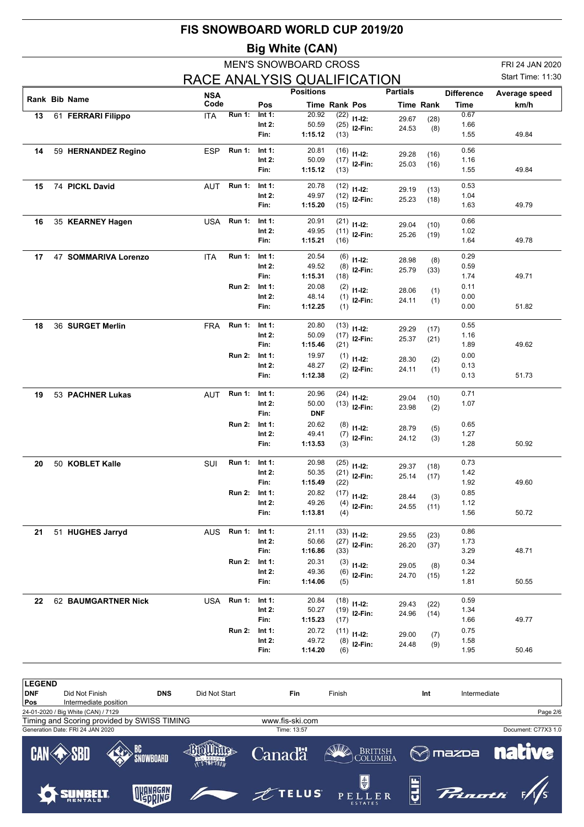|    |                      |            |               |           | <b>MEN'S SNOWBOARD CROSS</b> |      |                               |                 |                  |                   | FRI 24 JAN 2020   |  |
|----|----------------------|------------|---------------|-----------|------------------------------|------|-------------------------------|-----------------|------------------|-------------------|-------------------|--|
|    |                      |            |               |           | RACE ANALYSIS QUALIFICATION  |      |                               |                 |                  |                   | Start Time: 11:30 |  |
|    |                      | <b>NSA</b> |               |           | <b>Positions</b>             |      |                               | <b>Partials</b> |                  | <b>Difference</b> | Average speed     |  |
|    | <b>Rank Bib Name</b> | Code       |               | Pos       | <b>Time Rank Pos</b>         |      |                               |                 | <b>Time Rank</b> | Time              | km/h              |  |
| 13 | 61 FERRARI Filippo   | <b>ITA</b> | <b>Run 1:</b> | Int $1:$  | 20.92                        | (22) | $11 - 12$ :                   | 29.67           | (28)             | 0.67              |                   |  |
|    |                      |            |               | Int $2:$  | 50.59                        | (25) | $12-Fin:$                     | 24.53           | (8)              | 1.66              |                   |  |
|    |                      |            |               | Fin:      | 1:15.12                      | (13) |                               |                 |                  | 1.55              | 49.84             |  |
| 14 | 59 HERNANDEZ Regino  | <b>ESP</b> | Run 1:        | Int $1:$  | 20.81                        | (16) | $11 - 12$ :                   | 29.28           | (16)             | 0.56              |                   |  |
|    |                      |            |               | Int $2:$  | 50.09                        | (17) | $I2-Fin:$                     | 25.03           | (16)             | 1.16              |                   |  |
|    |                      |            |               | Fin:      | 1:15.12                      | (13) |                               |                 |                  | 1.55              | 49.84             |  |
| 15 | 74 PICKL David       | <b>AUT</b> | <b>Run 1:</b> | Int $1:$  | 20.78                        | (12) | $11 - 12$ :                   | 29.19           | (13)             | 0.53              |                   |  |
|    |                      |            |               | Int $2:$  | 49.97                        | (12) | $I2-Fin:$                     | 25.23           | (18)             | 1.04              |                   |  |
|    |                      |            |               | Fin:      | 1:15.20                      | (15) |                               |                 |                  | 1.63              | 49.79             |  |
| 16 | 35 KEARNEY Hagen     | <b>USA</b> | <b>Run 1:</b> | Int $1:$  | 20.91                        | (21) | $11 - 12$ :                   | 29.04           | (10)             | 0.66              |                   |  |
|    |                      |            |               | Int $2:$  | 49.95                        | (11) | $I2-Fin:$                     | 25.26           | (19)             | 1.02              |                   |  |
|    |                      |            |               | Fin:      | 1:15.21                      | (16) |                               |                 |                  | 1.64              | 49.78             |  |
| 17 | 47 SOMMARIVA Lorenzo | <b>ITA</b> | <b>Run 1:</b> | Int $1:$  | 20.54                        | (6)  | $11 - 12$ :                   | 28.98           | (8)              | 0.29              |                   |  |
|    |                      |            |               | Int 2:    | 49.52                        | (8)  | $12-Fin:$                     | 25.79           | (33)             | 0.59              |                   |  |
|    |                      |            |               | Fin:      | 1:15.31                      | (18) |                               |                 |                  | 1.74              | 49.71             |  |
|    |                      |            | <b>Run 2:</b> | Int $1:$  | 20.08                        | (2)  | $11 - 12$ :                   | 28.06           | (1)              | 0.11              |                   |  |
|    |                      |            |               | Int $2$ : | 48.14                        | (1)  | I2-Fin:                       | 24.11           | (1)              | 0.00              |                   |  |
|    |                      |            |               | Fin:      | 1:12.25                      | (1)  |                               |                 |                  | 0.00              | 51.82             |  |
| 18 | 36 SURGET Merlin     | <b>FRA</b> | <b>Run 1:</b> | Int 1:    | 20.80                        | (13) | $11 - 12$ :                   |                 |                  | 0.55              |                   |  |
|    |                      |            |               | Int 2:    | 50.09                        | (17) | I2-Fin:                       | 29.29<br>25.37  | (17)<br>(21)     | 1.16              |                   |  |
|    |                      |            |               | Fin:      | 1:15.46                      | (21) |                               |                 |                  | 1.89              | 49.62             |  |
|    |                      |            | <b>Run 2:</b> | Int $1$ : | 19.97                        | (1)  | $11 - 12$ :                   | 28.30           | (2)              | 0.00              |                   |  |
|    |                      |            |               | Int $2$ : | 48.27                        | (2)  | I2-Fin:                       | 24.11           | (1)              | 0.13              |                   |  |
|    |                      |            |               | Fin:      | 1:12.38                      | (2)  |                               |                 |                  | 0.13              | 51.73             |  |
| 19 | 53 PACHNER Lukas     | <b>AUT</b> | <b>Run 1:</b> | Int 1:    | 20.96                        | (24) |                               |                 |                  | 0.71              |                   |  |
|    |                      |            |               | Int 2:    | 50.00                        |      | $11 - 12$ :<br>$(13)$ 12-Fin: | 29.04           | (10)             | 1.07              |                   |  |
|    |                      |            |               | Fin:      | <b>DNF</b>                   |      |                               | 23.98           | (2)              |                   |                   |  |
|    |                      |            | <b>Run 2:</b> | Int 1:    | 20.62                        | (8)  | $11-12:$                      | 28.79           | (5)              | 0.65              |                   |  |
|    |                      |            |               | Int $2$ : | 49.41                        | (7)  | I2-Fin:                       | 24.12           | (3)              | 1.27              |                   |  |
|    |                      |            |               | Fin:      | 1:13.53                      | (3)  |                               |                 |                  | 1.28              | 50.92             |  |
| 20 | 50 KOBLET Kalle      | SUI        | <b>Run 1:</b> | Int $1:$  | 20.98                        | (25) |                               |                 |                  | 0.73              |                   |  |
|    |                      |            |               | Int $2:$  | 50.35                        |      | $11 - 12$ :<br>$(21)$ 12-Fin: | 29.37           | (18)             | 1.42              |                   |  |
|    |                      |            |               | Fin:      | 1:15.49                      | (22) |                               | 25.14           | (17)             | 1.92              | 49.60             |  |
|    |                      |            | <b>Run 2:</b> | Int 1:    | 20.82                        | (17) | $11-12:$                      | 28.44           | (3)              | 0.85              |                   |  |
|    |                      |            |               | Int $2$ : | 49.26                        | (4)  | I2-Fin:                       | 24.55           | (11)             | 1.12              |                   |  |
|    |                      |            |               | Fin:      | 1:13.81                      | (4)  |                               |                 |                  | 1.56              | 50.72             |  |
| 21 | 51 HUGHES Jarryd     | <b>AUS</b> | <b>Run 1:</b> | Int 1:    | 21.11                        |      | $(33)$ 11-12:                 |                 |                  | 0.86              |                   |  |
|    |                      |            |               | Int $2$ : | 50.66                        |      | $(27)$ 12-Fin:                | 29.55           | (23)             | 1.73              |                   |  |
|    |                      |            |               | Fin:      | 1:16.86                      | (33) |                               | 26.20           | (37)             | 3.29              | 48.71             |  |
|    |                      |            | <b>Run 2:</b> | Int 1:    | 20.31                        | (3)  | $11-12:$                      | 29.05           | (8)              | 0.34              |                   |  |
|    |                      |            |               | Int $2$ : | 49.36                        |      | $(6)$ 12-Fin:                 | 24.70           | (15)             | 1.22              |                   |  |
|    |                      |            |               | Fin:      | 1:14.06                      | (5)  |                               |                 |                  | 1.81              | 50.55             |  |
| 22 | 62 BAUMGARTNER Nick  | USA        | <b>Run 1:</b> | Int 1:    | 20.84                        | (18) |                               |                 |                  | 0.59              |                   |  |
|    |                      |            |               | Int $2:$  | 50.27                        | (19) | $11-12:$<br>$12-Fin:$         | 29.43           | (22)             | 1.34              |                   |  |
|    |                      |            |               | Fin:      | 1:15.23                      | (17) |                               | 24.96           | (14)             | 1.66              | 49.77             |  |
|    |                      |            | <b>Run 2:</b> | Int 1:    | 20.72                        | (11) | $11 - 12$ :                   | 29.00           | (7)              | 0.75              |                   |  |
|    |                      |            |               | Int 2:    | 49.72                        | (8)  | I2-Fin:                       | 24.48           | (9)              | 1.58              |                   |  |
|    |                      |            |               | Fin:      | 1:14.20                      | (6)  |                               |                 |                  | 1.95              | 50.46             |  |

**FIS SNOWBOARD WORLD CUP 2019/20**

**LEGEND**<br>DNF **DNF** Did Not Finish **DNS** Did Not Start **Fin** Finish **Int** Intermediate **Pos** Intermediate position 24-01-2020 / Big White (CAN) / 7129 Page 2/6 Timing and Scoring provided by SWISS TIMING www.fis-ski.comGeneration Date: FRI 24 JAN 2020 Time: 13:57 Document: C77X3 1.0 **SILLA Jullings** BC British<br>|C<u>olumbi</u>a **Canadä** 12 CAI  $\bowtie$  mazoa  $15$  $\blacksquare$ SNOWBOARD T'S THE SNOW CLIF  $\frac{1}{4}$  $\frac{1}{5}$ OKANAGAN **SUNBELT TELUS** ,<br>inoth E R  $\mathbf{P}$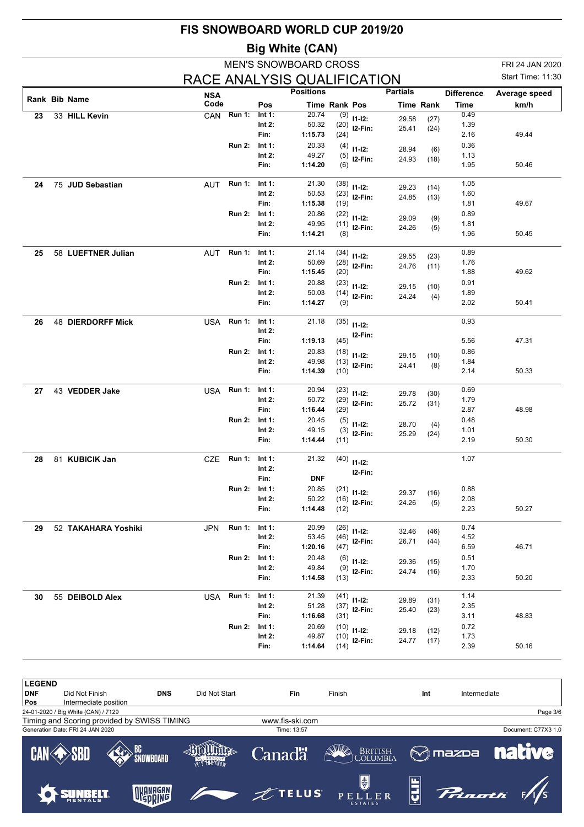|    |                          | FIS SNOWBOARD WORLD CUP 2019/20 |               |                       |                              |               |                                 |                 |                  |                           |                                      |
|----|--------------------------|---------------------------------|---------------|-----------------------|------------------------------|---------------|---------------------------------|-----------------|------------------|---------------------------|--------------------------------------|
|    |                          |                                 |               |                       | <b>Big White (CAN)</b>       |               |                                 |                 |                  |                           |                                      |
|    |                          |                                 |               |                       | <b>MEN'S SNOWBOARD CROSS</b> |               |                                 |                 |                  |                           | FRI 24 JAN 2020<br>Start Time: 11:30 |
|    |                          | RACE ANALYSIS QUALIFICATION     |               |                       | <b>Positions</b>             |               |                                 | <b>Partials</b> |                  |                           |                                      |
|    | Rank Bib Name            | <b>NSA</b><br>Code              |               | Pos                   |                              | Time Rank Pos |                                 |                 | <b>Time Rank</b> | <b>Difference</b><br>Time | Average speed<br>km/h                |
| 23 | 33 HILL Kevin            | CAN                             | <b>Run 1:</b> | Int $1$ :             | 20.74                        | (9)           | $11-12:$                        | 29.58           | (27)             | 0.49                      |                                      |
|    |                          |                                 |               | Int $2:$<br>Fin:      | 50.32                        | (20)          | I2-Fin:                         | 25.41           | (24)             | 1.39                      |                                      |
|    |                          |                                 | <b>Run 2:</b> | Int $1:$              | 1:15.73<br>20.33             | (24)<br>(4)   |                                 |                 |                  | 2.16<br>0.36              | 49.44                                |
|    |                          |                                 |               | Int $2:$              | 49.27                        | (5)           | $11-12:$<br>I2-Fin:             | 28.94           | (6)              | 1.13                      |                                      |
|    |                          |                                 |               | Fin:                  | 1:14.20                      | (6)           |                                 | 24.93           | (18)             | 1.95                      | 50.46                                |
| 24 | 75 JUD Sebastian         | <b>AUT</b>                      | <b>Run 1:</b> | Int $1$ :             | 21.30                        | (38)          | $11 - 12$ :                     | 29.23           | (14)             | 1.05                      |                                      |
|    |                          |                                 |               | Int $2:$<br>Fin:      | 50.53<br>1:15.38             | (23)          | $I2-Fin:$                       | 24.85           | (13)             | 1.60<br>1.81              | 49.67                                |
|    |                          |                                 | <b>Run 2:</b> | Int $1:$              | 20.86                        | (19)<br>(22)  |                                 |                 |                  | 0.89                      |                                      |
|    |                          |                                 |               | Int $2:$              | 49.95                        | (11)          | $11 - 12$ :<br>I2-Fin:          | 29.09           | (9)              | 1.81                      |                                      |
|    |                          |                                 |               | Fin:                  | 1:14.21                      | (8)           |                                 | 24.26           | (5)              | 1.96                      | 50.45                                |
| 25 | 58 LUEFTNER Julian       | <b>AUT</b>                      | <b>Run 1:</b> | Int $1$ :             | 21.14                        | (34)          | $11 - 12$ :                     | 29.55           | (23)             | 0.89                      |                                      |
|    |                          |                                 |               | Int $2:$              | 50.69                        | (28)          | I2-Fin:                         | 24.76           | (11)             | 1.76                      |                                      |
|    |                          |                                 | <b>Run 2:</b> | Fin:<br>Int 1:        | 1:15.45<br>20.88             | (20)          |                                 |                 |                  | 1.88<br>0.91              | 49.62                                |
|    |                          |                                 |               | Int $2:$              | 50.03                        | (23)<br>(14)  | $11-12:$<br>I2-Fin:             | 29.15           | (10)             | 1.89                      |                                      |
|    |                          |                                 |               | Fin:                  | 1:14.27                      | (9)           |                                 | 24.24           | (4)              | 2.02                      | 50.41                                |
| 26 | <b>48 DIERDORFF Mick</b> | USA                             | <b>Run 1:</b> | Int 1:                | 21.18                        | (35)          | $11 - 12$ :                     |                 |                  | 0.93                      |                                      |
|    |                          |                                 |               | Int $2:$              |                              |               | I2-Fin:                         |                 |                  |                           |                                      |
|    |                          |                                 |               | Fin:                  | 1:19.13                      | (45)          |                                 |                 |                  | 5.56                      | 47.31                                |
|    |                          |                                 | <b>Run 2:</b> | Int 1:<br>Int $2:$    | 20.83<br>49.98               | (18)<br>(13)  | $11-12:$                        | 29.15           | (10)             | 0.86<br>1.84              |                                      |
|    |                          |                                 |               | Fin:                  | 1:14.39                      | (10)          | I2-Fin:                         | 24.41           | (8)              | 2.14                      | 50.33                                |
| 27 | 43 VEDDER Jake           | USA                             | <b>Run 1:</b> | Int $1$ :             | 20.94                        | (23)          | $11 - 12$ :                     | 29.78           | (30)             | 0.69                      |                                      |
|    |                          |                                 |               | Int $2:$              | 50.72                        | (29)          | $I2-Fin:$                       | 25.72           | (31)             | 1.79                      |                                      |
|    |                          |                                 | <b>Run 2:</b> | Fin:<br>Int $1:$      | 1:16.44<br>20.45             | (29)          |                                 |                 |                  | 2.87<br>0.48              | 48.98                                |
|    |                          |                                 |               | Int $2:$              | 49.15                        | (5)<br>(3)    | $11-12:$                        | 28.70           | (4)              | 1.01                      |                                      |
|    |                          |                                 |               | Fin:                  | 1:14.44                      | (11)          | I2-Fin:                         | 25.29           | (24)             | 2.19                      | 50.30                                |
| 28 | 81 KUBICIK Jan           | <b>CZE</b>                      | <b>Run 1:</b> | Int 1:                | 21.32                        |               | $(40)$ 11-12:                   |                 |                  | 1.07                      |                                      |
|    |                          |                                 |               | Int $2:$              |                              |               | I2-Fin:                         |                 |                  |                           |                                      |
|    |                          |                                 | <b>Run 2:</b> | Fin:<br>Int $1:$      | <b>DNF</b><br>20.85          | (21)          |                                 |                 |                  | 0.88                      |                                      |
|    |                          |                                 |               | Int $2$ :             | 50.22                        |               | $11-12:$<br>$(16)$ 12-Fin:      | 29.37           | (16)             | 2.08                      |                                      |
|    |                          |                                 |               | Fin:                  | 1:14.48                      | (12)          |                                 | 24.26           | (5)              | 2.23                      | 50.27                                |
| 29 | 52 TAKAHARA Yoshiki      | JPN                             | <b>Run 1:</b> | Int 1:                | 20.99                        | (26)          | $11-12:$                        | 32.46           | (46)             | 0.74                      |                                      |
|    |                          |                                 |               | Int $2$ :             | 53.45                        | (46)          | $12-Fin:$                       | 26.71           | (44)             | 4.52                      |                                      |
|    |                          |                                 | <b>Run 2:</b> | Fin:<br>Int $1:$      | 1:20.16<br>20.48             | (47)          |                                 |                 |                  | 6.59<br>0.51              | 46.71                                |
|    |                          |                                 |               | Int $2$ :             | 49.84                        | (6)           | $11-12:$<br>$(9)$ 12-Fin:       | 29.36<br>24.74  | (15)             | 1.70                      |                                      |
|    |                          |                                 |               | Fin:                  | 1:14.58                      | (13)          |                                 |                 | (16)             | 2.33                      | 50.20                                |
| 30 | 55 DEIBOLD Alex          | USA                             | <b>Run 1:</b> | Int 1:                | 21.39                        |               | $(41)$ 11-12:                   | 29.89           | (31)             | 1.14                      |                                      |
|    |                          |                                 |               | Int $2$ :             | 51.28                        |               | $(37)$ 12-Fin:                  | 25.40           | (23)             | 2.35                      |                                      |
|    |                          |                                 | <b>Run 2:</b> | Fin:                  | 1:16.68                      | (31)          |                                 |                 |                  | 3.11                      | 48.83                                |
|    |                          |                                 |               | Int $1:$<br>Int $2$ : | 20.69<br>49.87               |               | $(10)$ 11-12:<br>$(10)$ 12-Fin: | 29.18           | (12)             | 0.72<br>1.73              |                                      |
|    |                          |                                 |               | Fin:                  | 1:14.64                      | (14)          |                                 | 24.77           | (17)             | 2.39                      | 50.16                                |

| <b>LEGEND</b><br><b>DNF</b><br> Pos | Did Not Finish<br>Intermediate position | <b>DNS</b>                                  | Did Not Start | <b>Fin</b>      | Finish                                            | Int            | Intermediate  |                     |
|-------------------------------------|-----------------------------------------|---------------------------------------------|---------------|-----------------|---------------------------------------------------|----------------|---------------|---------------------|
|                                     | 24-01-2020 / Big White (CAN) / 7129     |                                             |               |                 |                                                   |                |               | Page 3/6            |
|                                     |                                         | Timing and Scoring provided by SWISS TIMING |               | www.fis-ski.com |                                                   |                |               |                     |
|                                     | Generation Date: FRI 24 JAN 2020        |                                             |               | Time: 13:57     |                                                   |                |               | Document: C77X3 1.0 |
|                                     | <b>CAN SBD</b>                          | BC<br>`SNOWBOARD                            | T'S THE SNAW  | Canadä          | BRITISH COLUMBIA                                  | <b>M</b> mazpa | <b>native</b> |                     |
|                                     |                                         | <b><i>NIANAGAN</i></b>                      |               | $Z$ TELUS       | $\bigoplus_{i=1}^{n}$<br>PELLER<br><b>ESTATES</b> |                | Pringth F/S   |                     |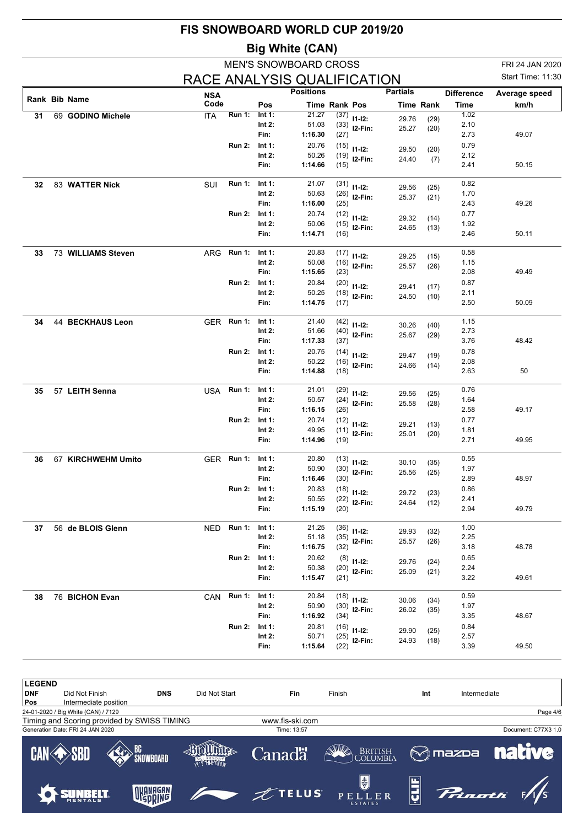|                         |                   | <b>MEN'S SNOWBOARD CROSS</b> |                             | <b>Big White (CAN)</b>                                                                    |                                                        |                |                                                                                                                                                                         |                                  |                                       |                                              |
|-------------------------|-------------------|------------------------------|-----------------------------|-------------------------------------------------------------------------------------------|--------------------------------------------------------|----------------|-------------------------------------------------------------------------------------------------------------------------------------------------------------------------|----------------------------------|---------------------------------------|----------------------------------------------|
|                         |                   |                              |                             |                                                                                           |                                                        |                |                                                                                                                                                                         |                                  |                                       | FRI 24 JAN 2020                              |
|                         |                   |                              |                             | RACE ANALYSIS QUALIFICATION                                                               |                                                        |                |                                                                                                                                                                         |                                  |                                       | Start Time: 11:30                            |
|                         | <b>NSA</b>        |                              |                             | <b>Positions</b>                                                                          |                                                        |                | <b>Partials</b>                                                                                                                                                         |                                  | <b>Difference</b>                     | Average speed                                |
| Rank Bib Name           | Code              |                              | Pos                         |                                                                                           | <b>Time Rank Pos</b>                                   |                |                                                                                                                                                                         | <b>Time Rank</b>                 | Time                                  | km/h                                         |
| 69 GODINO Michele       | <b>ITA</b>        | <b>Run 1:</b>                | Int 1:                      | 21.27                                                                                     |                                                        | $(37)$ 11-12:  | 29.76                                                                                                                                                                   | (29)                             | 1.02                                  |                                              |
|                         |                   |                              | Int 2:                      | 51.03                                                                                     |                                                        | $(33)$ 12-Fin: | 25.27                                                                                                                                                                   | (20)                             | 2.10                                  |                                              |
|                         |                   |                              | Fin:                        | 1:16.30                                                                                   | (27)                                                   |                |                                                                                                                                                                         |                                  | 2.73                                  | 49.07                                        |
|                         |                   | <b>Run 2:</b>                | Int $1$ :<br>Int $2:$       | 20.76<br>50.26                                                                            | (15)<br>(19)                                           | $11-12:$       | 29.50                                                                                                                                                                   | (20)                             | 0.79<br>2.12                          |                                              |
|                         |                   |                              | Fin:                        | 1:14.66                                                                                   | (15)                                                   | I2-Fin:        | 24.40                                                                                                                                                                   | (7)                              | 2.41                                  | 50.15                                        |
| 83 WATTER Nick          | SUI               | <b>Run 1:</b>                | Int 1:                      | 21.07                                                                                     |                                                        | $(31)$ 11-12:  | 29.56                                                                                                                                                                   | (25)                             | 0.82                                  |                                              |
|                         |                   |                              | Int $2:$                    | 50.63                                                                                     | (26)                                                   | $12-Fin:$      | 25.37                                                                                                                                                                   | (21)                             | 1.70                                  |                                              |
|                         |                   |                              | Fin:                        | 1:16.00                                                                                   | (25)                                                   |                |                                                                                                                                                                         |                                  | 2.43                                  | 49.26                                        |
|                         |                   | <b>Run 2:</b>                | Int 1:                      | 20.74                                                                                     | (12)                                                   | $11 - 12$ :    | 29.32                                                                                                                                                                   | (14)                             | 0.77                                  |                                              |
|                         |                   |                              | Int $2:$                    | 50.06                                                                                     | (15)                                                   | $12-Fin:$      | 24.65                                                                                                                                                                   | (13)                             | 1.92                                  |                                              |
|                         |                   |                              | Fin:                        | 1:14.71                                                                                   | (16)                                                   |                |                                                                                                                                                                         |                                  | 2.46                                  | 50.11                                        |
| 73 WILLIAMS Steven      | ARG               | <b>Run 1:</b>                | Int 1:                      | 20.83                                                                                     | (17)                                                   | $11 - 12$ :    | 29.25                                                                                                                                                                   | (15)                             | 0.58                                  |                                              |
|                         |                   |                              | Int $2:$                    | 50.08                                                                                     | (16)                                                   | I2-Fin:        | 25.57                                                                                                                                                                   | (26)                             | 1.15                                  |                                              |
|                         |                   |                              | Fin:                        | 1:15.65                                                                                   | (23)                                                   |                |                                                                                                                                                                         |                                  | 2.08                                  | 49.49                                        |
|                         |                   | <b>Run 2:</b>                | Int 1:<br>Int $2:$          | 20.84<br>50.25                                                                            | (20)<br>(18)                                           | $11 - 12$ :    | 29.41                                                                                                                                                                   | (17)                             | 0.87<br>2.11                          |                                              |
|                         |                   |                              | Fin:                        | 1:14.75                                                                                   | (17)                                                   | $12-Fin:$      | 24.50                                                                                                                                                                   | (10)                             | 2.50                                  | 50.09                                        |
| <b>44 BECKHAUS Leon</b> | <b>GER</b>        | <b>Run 1:</b>                | Int 1:                      | 21.40                                                                                     | (42)                                                   | $11 - 12$ :    | 30.26                                                                                                                                                                   | (40)                             | 1.15                                  |                                              |
|                         |                   |                              | Int $2:$                    | 51.66                                                                                     | (40)                                                   | $12-Fin:$      | 25.67                                                                                                                                                                   | (29)                             | 2.73                                  |                                              |
|                         |                   |                              | Fin:                        | 1:17.33                                                                                   | (37)                                                   |                |                                                                                                                                                                         |                                  | 3.76                                  | 48.42                                        |
|                         |                   | <b>Run 2:</b>                | Int $1$ :                   | 20.75                                                                                     | (14)                                                   | $11-12:$       | 29.47                                                                                                                                                                   | (19)                             | 0.78                                  |                                              |
|                         |                   |                              | Int $2:$<br>Fin:            | 50.22<br>1:14.88                                                                          | (16)<br>(18)                                           | I2-Fin:        | 24.66                                                                                                                                                                   | (14)                             | 2.08<br>2.63                          | 50                                           |
| 57 LEITH Senna          | USA.              | <b>Run 1:</b>                | Int 1:                      | 21.01                                                                                     | (29)                                                   | $11 - 12$ :    |                                                                                                                                                                         |                                  | 0.76                                  |                                              |
|                         |                   |                              | Int $2:$                    | 50.57                                                                                     | (24)                                                   | I2-Fin:        | 29.56<br>25.58                                                                                                                                                          | (25)<br>(28)                     | 1.64                                  |                                              |
|                         |                   |                              | Fin:                        | 1:16.15                                                                                   | (26)                                                   |                |                                                                                                                                                                         |                                  | 2.58                                  | 49.17                                        |
|                         |                   | <b>Run 2:</b>                | Int 1:                      | 20.74                                                                                     | (12)                                                   | $11 - 12$ :    | 29.21                                                                                                                                                                   | (13)                             | 0.77                                  |                                              |
|                         |                   |                              | Int $2:$                    | 49.95                                                                                     | (11)                                                   | $12-Fin:$      | 25.01                                                                                                                                                                   | (20)                             | 1.81                                  |                                              |
|                         |                   |                              | Fin:                        | 1:14.96                                                                                   | (19)                                                   |                |                                                                                                                                                                         |                                  | 2.71                                  | 49.95                                        |
| 67 KIRCHWEHM Umito      |                   | GER Run 1:                   | Int 1:                      | 20.80                                                                                     | (13)                                                   | $11 - 12$ :    | 30.10                                                                                                                                                                   | (35)                             | 0.55                                  |                                              |
|                         |                   |                              | Int $2$ :                   | 50.90                                                                                     |                                                        | $(30)$ 12-Fin: | 25.56                                                                                                                                                                   | (25)                             | 1.97                                  |                                              |
|                         |                   |                              | Fin:                        | 1:16.46                                                                                   | (30)                                                   |                |                                                                                                                                                                         |                                  | 2.89                                  | 48.97                                        |
|                         |                   | <b>Run 2:</b>                | Int 1:                      | 20.83                                                                                     | (18)                                                   | $11-12:$       | 29.72                                                                                                                                                                   | (23)                             | 0.86                                  |                                              |
|                         |                   |                              | Int $2:$<br>Fin:            | 50.55<br>1:15.19                                                                          | (20)                                                   | $(22)$ 12-Fin: | 24.64                                                                                                                                                                   | (12)                             | 2.41<br>2.94                          | 49.79                                        |
|                         |                   |                              |                             |                                                                                           |                                                        |                |                                                                                                                                                                         |                                  |                                       |                                              |
|                         |                   |                              |                             |                                                                                           |                                                        |                |                                                                                                                                                                         |                                  |                                       |                                              |
|                         |                   |                              | Fin:                        | 1:16.75                                                                                   |                                                        |                |                                                                                                                                                                         |                                  | 3.18                                  | 48.78                                        |
|                         |                   | <b>Run 2:</b>                | Int 1:                      | 20.62                                                                                     |                                                        |                |                                                                                                                                                                         |                                  | 0.65                                  |                                              |
|                         |                   |                              | Int $2:$                    | 50.38                                                                                     |                                                        |                | 25.09                                                                                                                                                                   | (21)                             | 2.24                                  |                                              |
|                         |                   |                              | Fin:                        | 1:15.47                                                                                   |                                                        |                |                                                                                                                                                                         |                                  | 3.22                                  | 49.61                                        |
| 76 BICHON Evan          |                   |                              | Int 1:                      | 20.84                                                                                     |                                                        |                |                                                                                                                                                                         |                                  | 0.59                                  |                                              |
|                         |                   |                              | Int 2:                      | 50.90                                                                                     |                                                        |                |                                                                                                                                                                         | (35)                             | 1.97                                  |                                              |
|                         |                   |                              |                             |                                                                                           |                                                        |                |                                                                                                                                                                         |                                  |                                       | 48.67                                        |
|                         |                   |                              |                             |                                                                                           |                                                        |                | 29.90                                                                                                                                                                   | (25)                             |                                       |                                              |
|                         |                   |                              |                             |                                                                                           |                                                        |                | 24.93                                                                                                                                                                   | (18)                             |                                       | 49.50                                        |
|                         | 56 de BLOIS Glenn |                              | NED<br>CAN<br><b>Run 2:</b> | <b>Run 1:</b><br>Int 1:<br>Int 2:<br><b>Run 1:</b><br>Fin:<br>Int 1:<br>Int $2$ :<br>Fin: | 21.25<br>51.18<br>1:16.92<br>20.81<br>50.71<br>1:15.64 |                | $(36)$ 11-12:<br>$(35)$ 12-Fin:<br>(32)<br>$(8)$ 11-12:<br>$(20)$ 12-Fin:<br>(21)<br>$(18)$ 11-12:<br>$(30)$ 12-Fin:<br>(34)<br>$(16)$ 11-12:<br>$(25)$ 12-Fin:<br>(22) | 29.93<br>25.57<br>29.76<br>30.06 | (32)<br>(26)<br>(24)<br>(34)<br>26.02 | 1.00<br>2.25<br>3.35<br>0.84<br>2.57<br>3.39 |

| <b>LEGEND</b>     |                                         |                                             |               |                 |                                        |     |                     |
|-------------------|-----------------------------------------|---------------------------------------------|---------------|-----------------|----------------------------------------|-----|---------------------|
| <b>DNF</b><br>Pos | Did Not Finish<br>Intermediate position | <b>DNS</b>                                  | Did Not Start | Fin             | Finish                                 | Int | Intermediate        |
|                   | 24-01-2020 / Big White (CAN) / 7129     |                                             |               |                 |                                        |     | Page 4/6            |
|                   |                                         | Timing and Scoring provided by SWISS TIMING |               | www.fis-ski.com |                                        |     |                     |
|                   | Generation Date: FRI 24 JAN 2020        |                                             |               | Time: 13:57     |                                        |     | Document: C77X3 1.0 |
|                   | <b>CAN SBD</b>                          | <b>BC</b><br>SNOWBOARD                      |               | <b>Canadä</b>   | BRITISH COLUMBIA                       |     | <b>MAZDA</b> native |
|                   |                                         | OKANAGAN                                    |               | ZTELUS          | $\bigcirc$<br>PELLER<br><b>ESTATES</b> |     | Prinoth WS          |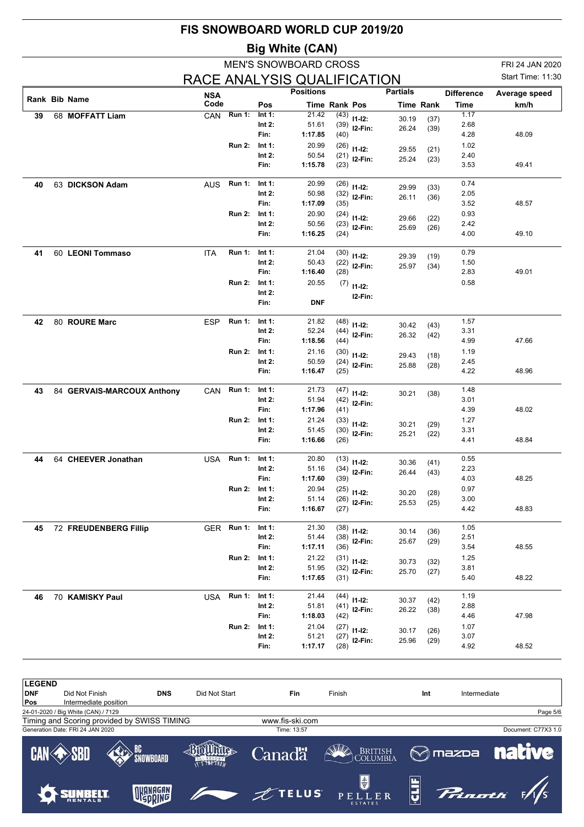|    |                            |                    |               |                        | <b>Big White (CAN)</b>       |                      |                |                 |                  |                           |                       |
|----|----------------------------|--------------------|---------------|------------------------|------------------------------|----------------------|----------------|-----------------|------------------|---------------------------|-----------------------|
|    |                            |                    |               |                        | <b>MEN'S SNOWBOARD CROSS</b> |                      |                |                 |                  |                           | FRI 24 JAN 2020       |
|    |                            |                    |               |                        | RACE ANALYSIS QUALIFICATION  |                      |                |                 |                  |                           | Start Time: 11:30     |
|    | <b>Rank Bib Name</b>       | <b>NSA</b><br>Code |               | Pos                    | <b>Positions</b>             | <b>Time Rank Pos</b> |                | <b>Partials</b> | <b>Time Rank</b> | <b>Difference</b><br>Time | Average speed<br>km/h |
| 39 | 68 MOFFATT Liam            | CAN                | <b>Run 1:</b> | Int $1:$               | 21.42                        | (43)                 | $11 - 12$ :    | 30.19           | (37)             | 1.17                      |                       |
|    |                            |                    |               | Int 2:                 | 51.61                        | (39)                 | $12-Fin:$      | 26.24           | (39)             | 2.68                      |                       |
|    |                            |                    |               | Fin:                   | 1:17.85                      | (40)                 |                |                 |                  | 4.28                      | 48.09                 |
|    |                            |                    | <b>Run 2:</b> | Int 1:<br>Int $2:$     | 20.99<br>50.54               | (26)<br>(21)         | $11 - 12$ :    | 29.55           | (21)             | 1.02<br>2.40              |                       |
|    |                            |                    |               | Fin:                   | 1:15.78                      | (23)                 | I2-Fin:        | 25.24           | (23)             | 3.53                      | 49.41                 |
| 40 | 63 DICKSON Adam            | <b>AUS</b>         | <b>Run 1:</b> | Int $1$ :              | 20.99                        | (26)                 | $11 - 12$ :    | 29.99           | (33)             | 0.74                      |                       |
|    |                            |                    |               | Int $2:$               | 50.98                        | (32)                 | I2-Fin:        | 26.11           | (36)             | 2.05                      |                       |
|    |                            |                    |               | Fin:                   | 1:17.09                      | (35)                 |                |                 |                  | 3.52                      | 48.57                 |
|    |                            |                    | <b>Run 2:</b> | Int 1:<br>Int $2:$     | 20.90<br>50.56               | (24)<br>(23)         | $11 - 12$ :    | 29.66           | (22)             | 0.93<br>2.42              |                       |
|    |                            |                    |               | Fin:                   | 1:16.25                      | (24)                 | $12-Fin:$      | 25.69           | (26)             | 4.00                      | 49.10                 |
| 41 | 60 LEONI Tommaso           | <b>ITA</b>         | <b>Run 1:</b> | Int 1:                 | 21.04                        | (30)                 | $11 - 12$ :    | 29.39           | (19)             | 0.79                      |                       |
|    |                            |                    |               | Int $2:$               | 50.43                        | (22)                 | $12-Fin:$      | 25.97           | (34)             | 1.50                      |                       |
|    |                            |                    |               | Fin:                   | 1:16.40                      | (28)                 |                |                 |                  | 2.83                      | 49.01                 |
|    |                            |                    | <b>Run 2:</b> | Int 1:<br>Int $2:$     | 20.55                        | (7)                  | $11 - 12$ :    |                 |                  | 0.58                      |                       |
|    |                            |                    |               | Fin:                   | <b>DNF</b>                   |                      | I2-Fin:        |                 |                  |                           |                       |
| 42 | 80 ROURE Marc              | <b>ESP</b>         | <b>Run 1:</b> | Int $1$ :              | 21.82                        | (48)                 | $11 - 12$ :    | 30.42           | (43)             | 1.57                      |                       |
|    |                            |                    |               | Int $2:$               | 52.24                        | (44)                 | $I2-Fin:$      | 26.32           | (42)             | 3.31                      |                       |
|    |                            |                    |               | Fin:                   | 1:18.56                      | (44)                 |                |                 |                  | 4.99                      | 47.66                 |
|    |                            |                    | <b>Run 2:</b> | Int 1:                 | 21.16                        | (30)                 | $11-12:$       | 29.43           | (18)             | 1.19                      |                       |
|    |                            |                    |               | Int $2:$<br>Fin:       | 50.59<br>1:16.47             | (24)<br>(25)         | I2-Fin:        | 25.88           | (28)             | 2.45<br>4.22              | 48.96                 |
| 43 | 84 GERVAIS-MARCOUX Anthony | CAN                | <b>Run 1:</b> | Int $1$ :              | 21.73                        | (47)                 | $11 - 12$ :    | 30.21           | (38)             | 1.48                      |                       |
|    |                            |                    |               | Int $2:$               | 51.94                        | (42)                 | $12-Fin:$      |                 |                  | 3.01                      |                       |
|    |                            |                    |               | Fin:                   | 1:17.96                      | (41)                 |                |                 |                  | 4.39                      | 48.02                 |
|    |                            |                    | <b>Run 2:</b> | Int 1:<br>Int $2:$     | 21.24<br>51.45               | (33)                 | $11 - 12$ :    | 30.21           | (29)             | 1.27<br>3.31              |                       |
|    |                            |                    |               | Fin:                   | 1:16.66                      | (30)<br>(26)         | I2-Fin:        | 25.21           | (22)             | 4.41                      | 48.84                 |
| 44 | 64 CHEEVER Jonathan        | USA                | Run 1:        | Int 1:                 | 20.80                        | (13)                 | $11 - 12$ :    | 30.36           | (41)             | 0.55                      |                       |
|    |                            |                    |               | Int $2$ :              | 51.16                        |                      | $(34)$ 12-Fin: | 26.44           | (43)             | 2.23                      |                       |
|    |                            |                    | <b>Run 2:</b> | Fin:<br>Int 1:         | 1:17.60<br>20.94             | (39)                 |                |                 |                  | 4.03<br>0.97              | 48.25                 |
|    |                            |                    |               | Int $2:$               | 51.14                        | (25)                 | $11 - 12$ :    | 30.20           | (28)             | 3.00                      |                       |
|    |                            |                    |               | Fin:                   | 1:16.67                      | (27)                 | $(26)$ 12-Fin: | 25.53           | (25)             | 4.42                      | 48.83                 |
| 45 | 72 FREUDENBERG Fillip      |                    | GER Run 1:    | Int 1:                 | 21.30                        |                      | $(38)$ 11-12:  | 30.14           | (36)             | 1.05                      |                       |
|    |                            |                    |               | Int 2:                 | 51.44                        |                      | $(38)$ 12-Fin: | 25.67           | (29)             | 2.51                      |                       |
|    |                            |                    |               | Fin:                   | 1:17.11                      | (36)                 |                |                 |                  | 3.54                      | 48.55                 |
|    |                            |                    | <b>Run 2:</b> | Int 1:<br>Int $2:$     | 21.22<br>51.95               |                      | $(31)$ 11-12:  | 30.73           | (32)             | 1.25<br>3.81              |                       |
|    |                            |                    |               | Fin:                   | 1:17.65                      | (32)<br>(31)         | $I2-Fin:$      | 25.70           | (27)             | 5.40                      | 48.22                 |
| 46 | 70 KAMISKY Paul            | USA                | <b>Run 1:</b> | Int 1:                 | 21.44                        | (44)                 | $11-12:$       | 30.37           | (42)             | 1.19                      |                       |
|    |                            |                    |               | Int 2:                 | 51.81                        |                      | $(41)$ 12-Fin: | 26.22           | (38)             | 2.88                      |                       |
|    |                            |                    |               | Fin:                   | 1:18.03                      | (42)                 |                |                 |                  | 4.46                      | 47.98                 |
|    |                            |                    | <b>Run 2:</b> | Int $1$ :<br>Int $2$ : | 21.04<br>51.21               |                      | $(27)$ 11-12:  | 30.17           | (26)             | 1.07<br>3.07              |                       |
|    |                            |                    |               | Fin:                   | 1:17.17                      | (28)                 | $(27)$ 12-Fin: | 25.96           | (29)             | 4.92                      | 48.52                 |

| <b>LEGEND</b> |                                     |                                             |               |                 |                               |     |              |                              |
|---------------|-------------------------------------|---------------------------------------------|---------------|-----------------|-------------------------------|-----|--------------|------------------------------|
| <b>DNF</b>    | Did Not Finish                      | <b>DNS</b>                                  | Did Not Start | Fin             | Finish                        | Int | Intermediate |                              |
| Pos           | Intermediate position               |                                             |               |                 |                               |     |              |                              |
|               | 24-01-2020 / Big White (CAN) / 7129 |                                             |               |                 |                               |     |              | Page 5/6                     |
|               |                                     | Timing and Scoring provided by SWISS TIMING |               | www.fis-ski.com |                               |     |              |                              |
|               | Generation Date: FRI 24 JAN 2020    |                                             |               | Time: 13:57     |                               |     |              | Document: C77X3 1.0          |
|               | <b>CAN SBD</b>                      | <b>EXP</b> BC<br>SNOWBOARD                  |               | <b>Canadä</b>   | BRITISH COLUMBIA              |     |              | <b>M</b> mazpa <b>native</b> |
|               | SUNBELT                             | OKANAGAN                                    |               | $\n  1 FELUS\n$ | 5<br>PELLER<br><b>ESTATES</b> | ģ   | Princeti F/S |                              |